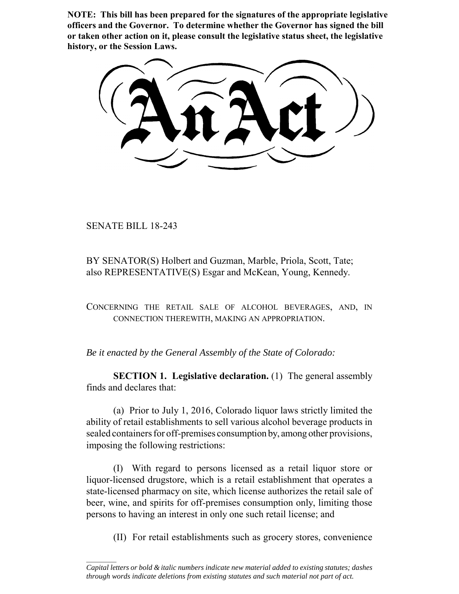**NOTE: This bill has been prepared for the signatures of the appropriate legislative officers and the Governor. To determine whether the Governor has signed the bill or taken other action on it, please consult the legislative status sheet, the legislative history, or the Session Laws.**

SENATE BILL 18-243

 $\frac{1}{2}$ 

BY SENATOR(S) Holbert and Guzman, Marble, Priola, Scott, Tate; also REPRESENTATIVE(S) Esgar and McKean, Young, Kennedy.

CONCERNING THE RETAIL SALE OF ALCOHOL BEVERAGES, AND, IN CONNECTION THEREWITH, MAKING AN APPROPRIATION.

*Be it enacted by the General Assembly of the State of Colorado:*

**SECTION 1. Legislative declaration.** (1) The general assembly finds and declares that:

(a) Prior to July 1, 2016, Colorado liquor laws strictly limited the ability of retail establishments to sell various alcohol beverage products in sealed containers for off-premises consumption by, among other provisions, imposing the following restrictions:

(I) With regard to persons licensed as a retail liquor store or liquor-licensed drugstore, which is a retail establishment that operates a state-licensed pharmacy on site, which license authorizes the retail sale of beer, wine, and spirits for off-premises consumption only, limiting those persons to having an interest in only one such retail license; and

(II) For retail establishments such as grocery stores, convenience

*Capital letters or bold & italic numbers indicate new material added to existing statutes; dashes through words indicate deletions from existing statutes and such material not part of act.*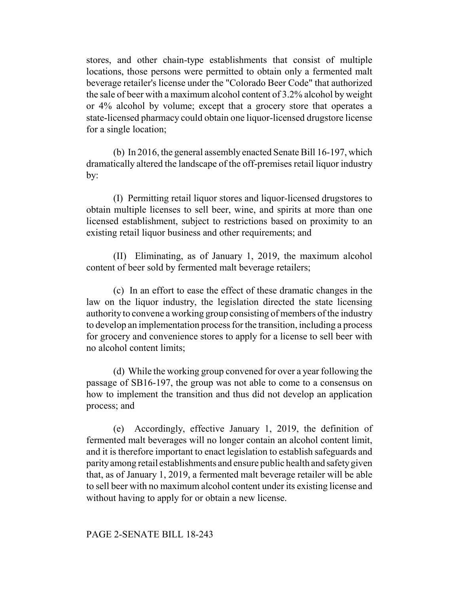stores, and other chain-type establishments that consist of multiple locations, those persons were permitted to obtain only a fermented malt beverage retailer's license under the "Colorado Beer Code" that authorized the sale of beer with a maximum alcohol content of 3.2% alcohol by weight or 4% alcohol by volume; except that a grocery store that operates a state-licensed pharmacy could obtain one liquor-licensed drugstore license for a single location;

(b) In 2016, the general assembly enacted Senate Bill 16-197, which dramatically altered the landscape of the off-premises retail liquor industry by:

(I) Permitting retail liquor stores and liquor-licensed drugstores to obtain multiple licenses to sell beer, wine, and spirits at more than one licensed establishment, subject to restrictions based on proximity to an existing retail liquor business and other requirements; and

(II) Eliminating, as of January 1, 2019, the maximum alcohol content of beer sold by fermented malt beverage retailers;

(c) In an effort to ease the effect of these dramatic changes in the law on the liquor industry, the legislation directed the state licensing authority to convene a working group consisting of members of the industry to develop an implementation process for the transition, including a process for grocery and convenience stores to apply for a license to sell beer with no alcohol content limits;

(d) While the working group convened for over a year following the passage of SB16-197, the group was not able to come to a consensus on how to implement the transition and thus did not develop an application process; and

(e) Accordingly, effective January 1, 2019, the definition of fermented malt beverages will no longer contain an alcohol content limit, and it is therefore important to enact legislation to establish safeguards and parity among retail establishments and ensure public health and safety given that, as of January 1, 2019, a fermented malt beverage retailer will be able to sell beer with no maximum alcohol content under its existing license and without having to apply for or obtain a new license.

### PAGE 2-SENATE BILL 18-243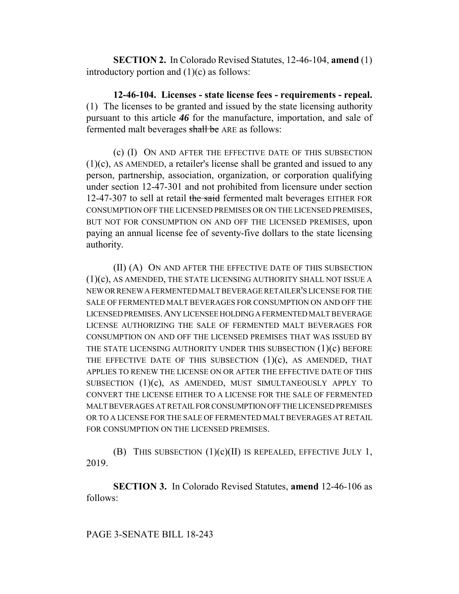**SECTION 2.** In Colorado Revised Statutes, 12-46-104, **amend** (1) introductory portion and  $(1)(c)$  as follows:

**12-46-104. Licenses - state license fees - requirements - repeal.** (1) The licenses to be granted and issued by the state licensing authority pursuant to this article *46* for the manufacture, importation, and sale of fermented malt beverages shall be ARE as follows:

(c) (I) ON AND AFTER THE EFFECTIVE DATE OF THIS SUBSECTION (1)(c), AS AMENDED, a retailer's license shall be granted and issued to any person, partnership, association, organization, or corporation qualifying under section 12-47-301 and not prohibited from licensure under section 12-47-307 to sell at retail the said fermented malt beverages EITHER FOR CONSUMPTION OFF THE LICENSED PREMISES OR ON THE LICENSED PREMISES, BUT NOT FOR CONSUMPTION ON AND OFF THE LICENSED PREMISES, upon paying an annual license fee of seventy-five dollars to the state licensing authority.

(II) (A) ON AND AFTER THE EFFECTIVE DATE OF THIS SUBSECTION (1)(c), AS AMENDED, THE STATE LICENSING AUTHORITY SHALL NOT ISSUE A NEW OR RENEW A FERMENTED MALT BEVERAGE RETAILER'S LICENSE FOR THE SALE OF FERMENTED MALT BEVERAGES FOR CONSUMPTION ON AND OFF THE LICENSED PREMISES.ANY LICENSEE HOLDING A FERMENTED MALT BEVERAGE LICENSE AUTHORIZING THE SALE OF FERMENTED MALT BEVERAGES FOR CONSUMPTION ON AND OFF THE LICENSED PREMISES THAT WAS ISSUED BY THE STATE LICENSING AUTHORITY UNDER THIS SUBSECTION (1)(c) BEFORE THE EFFECTIVE DATE OF THIS SUBSECTION  $(1)(c)$ , AS AMENDED, THAT APPLIES TO RENEW THE LICENSE ON OR AFTER THE EFFECTIVE DATE OF THIS SUBSECTION (1)(c), AS AMENDED, MUST SIMULTANEOUSLY APPLY TO CONVERT THE LICENSE EITHER TO A LICENSE FOR THE SALE OF FERMENTED MALT BEVERAGES AT RETAIL FOR CONSUMPTION OFF THE LICENSED PREMISES OR TO A LICENSE FOR THE SALE OF FERMENTED MALT BEVERAGES AT RETAIL FOR CONSUMPTION ON THE LICENSED PREMISES.

(B) THIS SUBSECTION  $(1)(c)(II)$  IS REPEALED, EFFECTIVE JULY 1, 2019.

**SECTION 3.** In Colorado Revised Statutes, **amend** 12-46-106 as follows: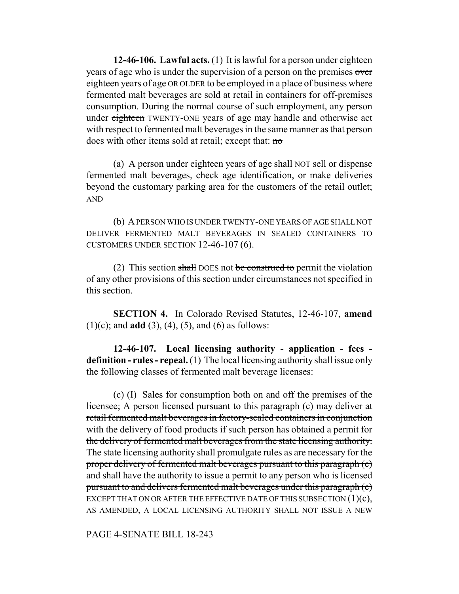**12-46-106. Lawful acts.** (1) It is lawful for a person under eighteen years of age who is under the supervision of a person on the premises over eighteen years of age OR OLDER to be employed in a place of business where fermented malt beverages are sold at retail in containers for off-premises consumption. During the normal course of such employment, any person under eighteen TWENTY-ONE years of age may handle and otherwise act with respect to fermented malt beverages in the same manner as that person does with other items sold at retail; except that: no

(a) A person under eighteen years of age shall NOT sell or dispense fermented malt beverages, check age identification, or make deliveries beyond the customary parking area for the customers of the retail outlet; AND

(b) A PERSON WHO IS UNDER TWENTY-ONE YEARS OF AGE SHALL NOT DELIVER FERMENTED MALT BEVERAGES IN SEALED CONTAINERS TO CUSTOMERS UNDER SECTION 12-46-107 (6).

(2) This section shall DOES not be construed to permit the violation of any other provisions of this section under circumstances not specified in this section.

**SECTION 4.** In Colorado Revised Statutes, 12-46-107, **amend**  $(1)(c)$ ; and **add**  $(3)$ ,  $(4)$ ,  $(5)$ , and  $(6)$  as follows:

**12-46-107. Local licensing authority - application - fees definition - rules - repeal.** (1) The local licensing authority shall issue only the following classes of fermented malt beverage licenses:

(c) (I) Sales for consumption both on and off the premises of the licensee; A person licensed pursuant to this paragraph (c) may deliver at retail fermented malt beverages in factory-sealed containers in conjunction with the delivery of food products if such person has obtained a permit for the delivery of fermented malt beverages from the state licensing authority. The state licensing authority shall promulgate rules as are necessary for the proper delivery of fermented malt beverages pursuant to this paragraph (c) and shall have the authority to issue a permit to any person who is licensed pursuant to and delivers fermented malt beverages under this paragraph (c) EXCEPT THAT ON OR AFTER THE EFFECTIVE DATE OF THIS SUBSECTION  $(1)(c)$ , AS AMENDED, A LOCAL LICENSING AUTHORITY SHALL NOT ISSUE A NEW

PAGE 4-SENATE BILL 18-243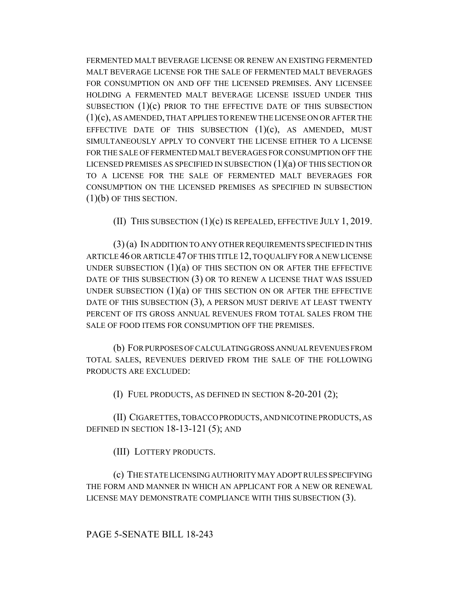FERMENTED MALT BEVERAGE LICENSE OR RENEW AN EXISTING FERMENTED MALT BEVERAGE LICENSE FOR THE SALE OF FERMENTED MALT BEVERAGES FOR CONSUMPTION ON AND OFF THE LICENSED PREMISES. ANY LICENSEE HOLDING A FERMENTED MALT BEVERAGE LICENSE ISSUED UNDER THIS SUBSECTION  $(1)(c)$  prior to the effective date of this subsection (1)(c), AS AMENDED, THAT APPLIES TO RENEW THE LICENSE ON OR AFTER THE EFFECTIVE DATE OF THIS SUBSECTION  $(1)(c)$ , AS AMENDED, MUST SIMULTANEOUSLY APPLY TO CONVERT THE LICENSE EITHER TO A LICENSE FOR THE SALE OF FERMENTED MALT BEVERAGES FOR CONSUMPTION OFF THE LICENSED PREMISES AS SPECIFIED IN SUBSECTION  $(1)(a)$  OF THIS SECTION OR TO A LICENSE FOR THE SALE OF FERMENTED MALT BEVERAGES FOR CONSUMPTION ON THE LICENSED PREMISES AS SPECIFIED IN SUBSECTION (1)(b) OF THIS SECTION.

(II) THIS SUBSECTION (1)(c) IS REPEALED, EFFECTIVE JULY 1, 2019.

(3) (a) IN ADDITION TO ANY OTHER REQUIREMENTS SPECIFIED IN THIS ARTICLE 46 OR ARTICLE 47 OF THIS TITLE 12, TO QUALIFY FOR A NEW LICENSE UNDER SUBSECTION  $(1)(a)$  OF THIS SECTION ON OR AFTER THE EFFECTIVE DATE OF THIS SUBSECTION (3) OR TO RENEW A LICENSE THAT WAS ISSUED UNDER SUBSECTION  $(1)(a)$  OF THIS SECTION ON OR AFTER THE EFFECTIVE DATE OF THIS SUBSECTION (3), A PERSON MUST DERIVE AT LEAST TWENTY PERCENT OF ITS GROSS ANNUAL REVENUES FROM TOTAL SALES FROM THE SALE OF FOOD ITEMS FOR CONSUMPTION OFF THE PREMISES.

(b) FOR PURPOSES OF CALCULATING GROSS ANNUAL REVENUES FROM TOTAL SALES, REVENUES DERIVED FROM THE SALE OF THE FOLLOWING PRODUCTS ARE EXCLUDED:

(I) FUEL PRODUCTS, AS DEFINED IN SECTION 8-20-201 (2);

(II) CIGARETTES, TOBACCO PRODUCTS, AND NICOTINE PRODUCTS, AS DEFINED IN SECTION 18-13-121 (5); AND

(III) LOTTERY PRODUCTS.

(c) THE STATE LICENSING AUTHORITY MAY ADOPT RULES SPECIFYING THE FORM AND MANNER IN WHICH AN APPLICANT FOR A NEW OR RENEWAL LICENSE MAY DEMONSTRATE COMPLIANCE WITH THIS SUBSECTION (3).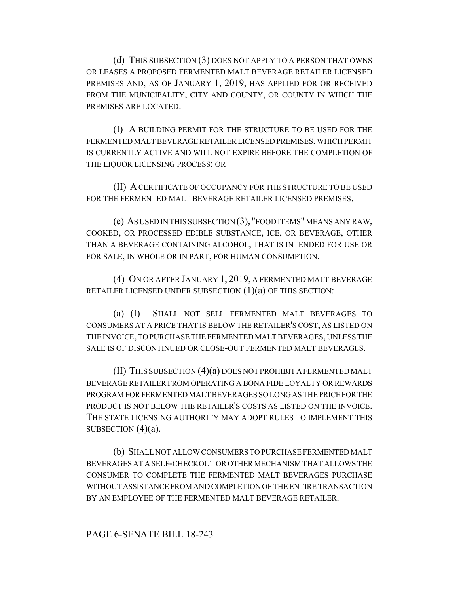(d) THIS SUBSECTION (3) DOES NOT APPLY TO A PERSON THAT OWNS OR LEASES A PROPOSED FERMENTED MALT BEVERAGE RETAILER LICENSED PREMISES AND, AS OF JANUARY 1, 2019, HAS APPLIED FOR OR RECEIVED FROM THE MUNICIPALITY, CITY AND COUNTY, OR COUNTY IN WHICH THE PREMISES ARE LOCATED:

(I) A BUILDING PERMIT FOR THE STRUCTURE TO BE USED FOR THE FERMENTED MALT BEVERAGE RETAILER LICENSED PREMISES, WHICH PERMIT IS CURRENTLY ACTIVE AND WILL NOT EXPIRE BEFORE THE COMPLETION OF THE LIQUOR LICENSING PROCESS; OR

(II) A CERTIFICATE OF OCCUPANCY FOR THE STRUCTURE TO BE USED FOR THE FERMENTED MALT BEVERAGE RETAILER LICENSED PREMISES.

(e) AS USED IN THIS SUBSECTION (3), "FOOD ITEMS" MEANS ANY RAW, COOKED, OR PROCESSED EDIBLE SUBSTANCE, ICE, OR BEVERAGE, OTHER THAN A BEVERAGE CONTAINING ALCOHOL, THAT IS INTENDED FOR USE OR FOR SALE, IN WHOLE OR IN PART, FOR HUMAN CONSUMPTION.

(4) ON OR AFTER JANUARY 1, 2019, A FERMENTED MALT BEVERAGE RETAILER LICENSED UNDER SUBSECTION (1)(a) OF THIS SECTION:

(a) (I) SHALL NOT SELL FERMENTED MALT BEVERAGES TO CONSUMERS AT A PRICE THAT IS BELOW THE RETAILER'S COST, AS LISTED ON THE INVOICE, TO PURCHASE THE FERMENTED MALT BEVERAGES, UNLESS THE SALE IS OF DISCONTINUED OR CLOSE-OUT FERMENTED MALT BEVERAGES.

(II) THIS SUBSECTION (4)(a) DOES NOT PROHIBIT A FERMENTED MALT BEVERAGE RETAILER FROM OPERATING A BONA FIDE LOYALTY OR REWARDS PROGRAM FOR FERMENTED MALT BEVERAGES SO LONG AS THE PRICE FOR THE PRODUCT IS NOT BELOW THE RETAILER'S COSTS AS LISTED ON THE INVOICE. THE STATE LICENSING AUTHORITY MAY ADOPT RULES TO IMPLEMENT THIS SUBSECTION  $(4)(a)$ .

(b) SHALL NOT ALLOW CONSUMERS TO PURCHASE FERMENTED MALT BEVERAGES AT A SELF-CHECKOUT OR OTHER MECHANISM THAT ALLOWS THE CONSUMER TO COMPLETE THE FERMENTED MALT BEVERAGES PURCHASE WITHOUT ASSISTANCE FROM AND COMPLETION OF THE ENTIRE TRANSACTION BY AN EMPLOYEE OF THE FERMENTED MALT BEVERAGE RETAILER.

# PAGE 6-SENATE BILL 18-243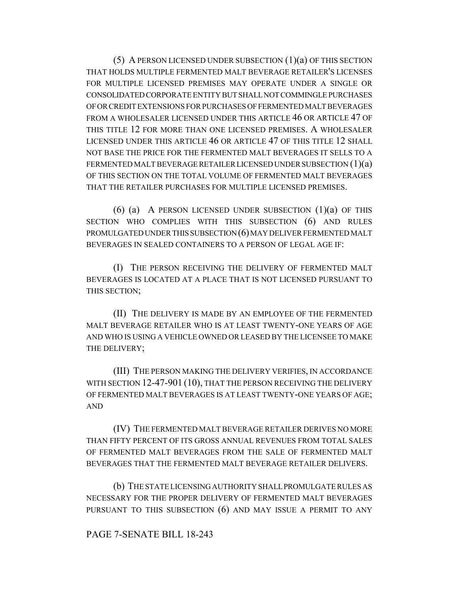(5) A PERSON LICENSED UNDER SUBSECTION (1)(a) OF THIS SECTION THAT HOLDS MULTIPLE FERMENTED MALT BEVERAGE RETAILER'S LICENSES FOR MULTIPLE LICENSED PREMISES MAY OPERATE UNDER A SINGLE OR CONSOLIDATED CORPORATE ENTITY BUT SHALL NOT COMMINGLE PURCHASES OF OR CREDIT EXTENSIONS FOR PURCHASES OF FERMENTED MALT BEVERAGES FROM A WHOLESALER LICENSED UNDER THIS ARTICLE 46 OR ARTICLE 47 OF THIS TITLE 12 FOR MORE THAN ONE LICENSED PREMISES. A WHOLESALER LICENSED UNDER THIS ARTICLE 46 OR ARTICLE 47 OF THIS TITLE 12 SHALL NOT BASE THE PRICE FOR THE FERMENTED MALT BEVERAGES IT SELLS TO A FERMENTED MALT BEVERAGE RETAILER LICENSED UNDER SUBSECTION (1)(a) OF THIS SECTION ON THE TOTAL VOLUME OF FERMENTED MALT BEVERAGES THAT THE RETAILER PURCHASES FOR MULTIPLE LICENSED PREMISES.

(6) (a) A PERSON LICENSED UNDER SUBSECTION  $(1)(a)$  OF THIS SECTION WHO COMPLIES WITH THIS SUBSECTION (6) AND RULES PROMULGATED UNDER THIS SUBSECTION (6) MAY DELIVER FERMENTED MALT BEVERAGES IN SEALED CONTAINERS TO A PERSON OF LEGAL AGE IF:

(I) THE PERSON RECEIVING THE DELIVERY OF FERMENTED MALT BEVERAGES IS LOCATED AT A PLACE THAT IS NOT LICENSED PURSUANT TO THIS SECTION;

(II) THE DELIVERY IS MADE BY AN EMPLOYEE OF THE FERMENTED MALT BEVERAGE RETAILER WHO IS AT LEAST TWENTY-ONE YEARS OF AGE AND WHO IS USING A VEHICLE OWNED OR LEASED BY THE LICENSEE TO MAKE THE DELIVERY;

(III) THE PERSON MAKING THE DELIVERY VERIFIES, IN ACCORDANCE WITH SECTION 12-47-901 (10), THAT THE PERSON RECEIVING THE DELIVERY OF FERMENTED MALT BEVERAGES IS AT LEAST TWENTY-ONE YEARS OF AGE; AND

(IV) THE FERMENTED MALT BEVERAGE RETAILER DERIVES NO MORE THAN FIFTY PERCENT OF ITS GROSS ANNUAL REVENUES FROM TOTAL SALES OF FERMENTED MALT BEVERAGES FROM THE SALE OF FERMENTED MALT BEVERAGES THAT THE FERMENTED MALT BEVERAGE RETAILER DELIVERS.

(b) THE STATE LICENSING AUTHORITY SHALL PROMULGATE RULES AS NECESSARY FOR THE PROPER DELIVERY OF FERMENTED MALT BEVERAGES PURSUANT TO THIS SUBSECTION (6) AND MAY ISSUE A PERMIT TO ANY

# PAGE 7-SENATE BILL 18-243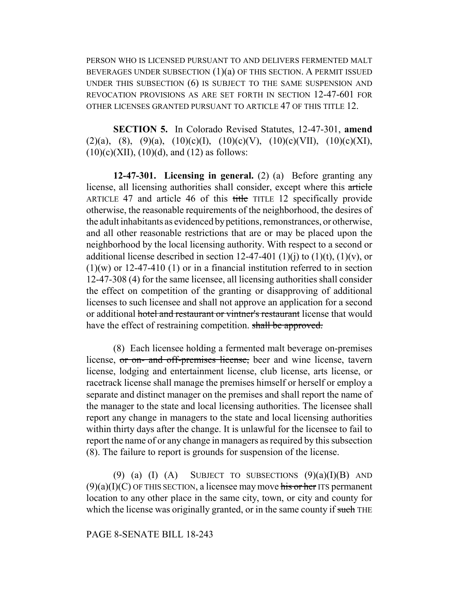PERSON WHO IS LICENSED PURSUANT TO AND DELIVERS FERMENTED MALT BEVERAGES UNDER SUBSECTION  $(1)(a)$  OF THIS SECTION. A PERMIT ISSUED UNDER THIS SUBSECTION (6) IS SUBJECT TO THE SAME SUSPENSION AND REVOCATION PROVISIONS AS ARE SET FORTH IN SECTION 12-47-601 FOR OTHER LICENSES GRANTED PURSUANT TO ARTICLE 47 OF THIS TITLE 12.

**SECTION 5.** In Colorado Revised Statutes, 12-47-301, **amend** (2)(a), (8), (9)(a), (10)(c)(I), (10)(c)(V), (10)(c)(VII), (10)(c)(XI),  $(10)(c)(XII), (10)(d),$  and  $(12)$  as follows:

**12-47-301. Licensing in general.** (2) (a) Before granting any license, all licensing authorities shall consider, except where this article ARTICLE 47 and article 46 of this title TITLE 12 specifically provide otherwise, the reasonable requirements of the neighborhood, the desires of the adult inhabitants as evidenced by petitions, remonstrances, or otherwise, and all other reasonable restrictions that are or may be placed upon the neighborhood by the local licensing authority. With respect to a second or additional license described in section 12-47-401 (1)(j) to (1)(t), (1)(v), or  $(1)(w)$  or 12-47-410 (1) or in a financial institution referred to in section 12-47-308 (4) for the same licensee, all licensing authorities shall consider the effect on competition of the granting or disapproving of additional licenses to such licensee and shall not approve an application for a second or additional hotel and restaurant or vintner's restaurant license that would have the effect of restraining competition. shall be approved.

(8) Each licensee holding a fermented malt beverage on-premises license, or on- and off-premises license, beer and wine license, tavern license, lodging and entertainment license, club license, arts license, or racetrack license shall manage the premises himself or herself or employ a separate and distinct manager on the premises and shall report the name of the manager to the state and local licensing authorities. The licensee shall report any change in managers to the state and local licensing authorities within thirty days after the change. It is unlawful for the licensee to fail to report the name of or any change in managers as required by this subsection (8). The failure to report is grounds for suspension of the license.

(9) (a) (I) (A) SUBJECT TO SUBSECTIONS  $(9)(a)(I)(B)$  AND  $(9)(a)(I)(C)$  OF THIS SECTION, a licensee may move his or her ITS permanent location to any other place in the same city, town, or city and county for which the license was originally granted, or in the same county if such THE

### PAGE 8-SENATE BILL 18-243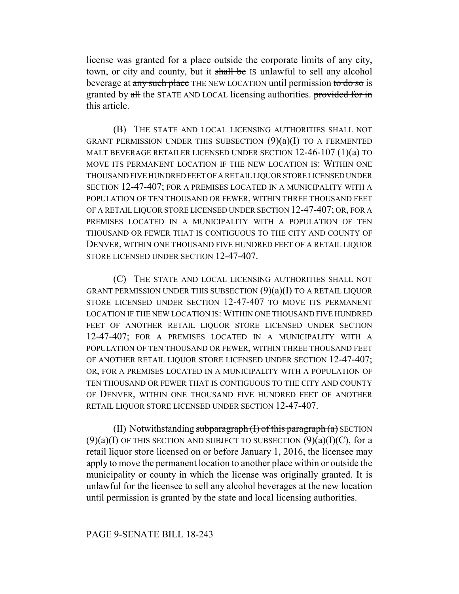license was granted for a place outside the corporate limits of any city, town, or city and county, but it shall be IS unlawful to sell any alcohol beverage at any such place THE NEW LOCATION until permission to do so is granted by all the STATE AND LOCAL licensing authorities. provided for in this article.

(B) THE STATE AND LOCAL LICENSING AUTHORITIES SHALL NOT GRANT PERMISSION UNDER THIS SUBSECTION  $(9)(a)(I)$  TO A FERMENTED MALT BEVERAGE RETAILER LICENSED UNDER SECTION 12-46-107 (1)(a) TO MOVE ITS PERMANENT LOCATION IF THE NEW LOCATION IS: WITHIN ONE THOUSAND FIVE HUNDRED FEET OF A RETAIL LIQUOR STORE LICENSED UNDER SECTION 12-47-407; FOR A PREMISES LOCATED IN A MUNICIPALITY WITH A POPULATION OF TEN THOUSAND OR FEWER, WITHIN THREE THOUSAND FEET OF A RETAIL LIQUOR STORE LICENSED UNDER SECTION 12-47-407; OR, FOR A PREMISES LOCATED IN A MUNICIPALITY WITH A POPULATION OF TEN THOUSAND OR FEWER THAT IS CONTIGUOUS TO THE CITY AND COUNTY OF DENVER, WITHIN ONE THOUSAND FIVE HUNDRED FEET OF A RETAIL LIQUOR STORE LICENSED UNDER SECTION 12-47-407.

(C) THE STATE AND LOCAL LICENSING AUTHORITIES SHALL NOT GRANT PERMISSION UNDER THIS SUBSECTION (9)(a)(I) TO A RETAIL LIQUOR STORE LICENSED UNDER SECTION 12-47-407 TO MOVE ITS PERMANENT LOCATION IF THE NEW LOCATION IS: WITHIN ONE THOUSAND FIVE HUNDRED FEET OF ANOTHER RETAIL LIQUOR STORE LICENSED UNDER SECTION 12-47-407; FOR A PREMISES LOCATED IN A MUNICIPALITY WITH A POPULATION OF TEN THOUSAND OR FEWER, WITHIN THREE THOUSAND FEET OF ANOTHER RETAIL LIQUOR STORE LICENSED UNDER SECTION 12-47-407; OR, FOR A PREMISES LOCATED IN A MUNICIPALITY WITH A POPULATION OF TEN THOUSAND OR FEWER THAT IS CONTIGUOUS TO THE CITY AND COUNTY OF DENVER, WITHIN ONE THOUSAND FIVE HUNDRED FEET OF ANOTHER RETAIL LIQUOR STORE LICENSED UNDER SECTION 12-47-407.

(II) Notwithstanding subparagraph  $(I)$  of this paragraph  $(a)$  SECTION  $(9)(a)(I)$  OF THIS SECTION AND SUBJECT TO SUBSECTION  $(9)(a)(I)(C)$ , for a retail liquor store licensed on or before January 1, 2016, the licensee may apply to move the permanent location to another place within or outside the municipality or county in which the license was originally granted. It is unlawful for the licensee to sell any alcohol beverages at the new location until permission is granted by the state and local licensing authorities.

# PAGE 9-SENATE BILL 18-243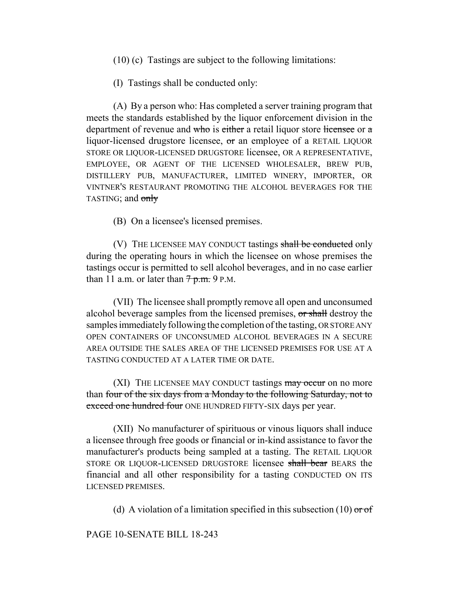(10) (c) Tastings are subject to the following limitations:

(I) Tastings shall be conducted only:

(A) By a person who: Has completed a server training program that meets the standards established by the liquor enforcement division in the department of revenue and who is either a retail liquor store licensee or a liquor-licensed drugstore licensee, or an employee of a RETAIL LIQUOR STORE OR LIQUOR-LICENSED DRUGSTORE licensee, OR A REPRESENTATIVE, EMPLOYEE, OR AGENT OF THE LICENSED WHOLESALER, BREW PUB, DISTILLERY PUB, MANUFACTURER, LIMITED WINERY, IMPORTER, OR VINTNER'S RESTAURANT PROMOTING THE ALCOHOL BEVERAGES FOR THE TASTING; and only

(B) On a licensee's licensed premises.

(V) THE LICENSEE MAY CONDUCT tastings shall be conducted only during the operating hours in which the licensee on whose premises the tastings occur is permitted to sell alcohol beverages, and in no case earlier than 11 a.m. or later than  $7p.m.$  9 P.M.

(VII) The licensee shall promptly remove all open and unconsumed alcohol beverage samples from the licensed premises, or shall destroy the samples immediately following the completion of the tasting, OR STORE ANY OPEN CONTAINERS OF UNCONSUMED ALCOHOL BEVERAGES IN A SECURE AREA OUTSIDE THE SALES AREA OF THE LICENSED PREMISES FOR USE AT A TASTING CONDUCTED AT A LATER TIME OR DATE.

(XI) THE LICENSEE MAY CONDUCT tastings  $\frac{m}{ay}$  occur on no more than four of the six days from a Monday to the following Saturday, not to exceed one hundred four ONE HUNDRED FIFTY-SIX days per year.

(XII) No manufacturer of spirituous or vinous liquors shall induce a licensee through free goods or financial or in-kind assistance to favor the manufacturer's products being sampled at a tasting. The RETAIL LIQUOR STORE OR LIQUOR-LICENSED DRUGSTORE licensee shall bear BEARS the financial and all other responsibility for a tasting CONDUCTED ON ITS LICENSED PREMISES.

(d) A violation of a limitation specified in this subsection (10)  $\sigma$  of

### PAGE 10-SENATE BILL 18-243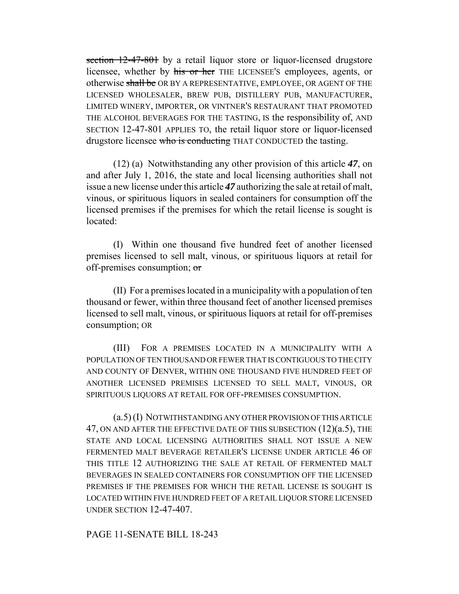section 12-47-801 by a retail liquor store or liquor-licensed drugstore licensee, whether by his or her THE LICENSEE'S employees, agents, or otherwise shall be OR BY A REPRESENTATIVE, EMPLOYEE, OR AGENT OF THE LICENSED WHOLESALER, BREW PUB, DISTILLERY PUB, MANUFACTURER, LIMITED WINERY, IMPORTER, OR VINTNER'S RESTAURANT THAT PROMOTED THE ALCOHOL BEVERAGES FOR THE TASTING, IS the responsibility of, AND SECTION 12-47-801 APPLIES TO, the retail liquor store or liquor-licensed drugstore licensee who is conducting THAT CONDUCTED the tasting.

(12) (a) Notwithstanding any other provision of this article *47*, on and after July 1, 2016, the state and local licensing authorities shall not issue a new license under this article *47* authorizing the sale at retail of malt, vinous, or spirituous liquors in sealed containers for consumption off the licensed premises if the premises for which the retail license is sought is located:

(I) Within one thousand five hundred feet of another licensed premises licensed to sell malt, vinous, or spirituous liquors at retail for off-premises consumption; or

(II) For a premises located in a municipality with a population of ten thousand or fewer, within three thousand feet of another licensed premises licensed to sell malt, vinous, or spirituous liquors at retail for off-premises consumption; OR

(III) FOR A PREMISES LOCATED IN A MUNICIPALITY WITH A POPULATION OF TEN THOUSAND OR FEWER THAT IS CONTIGUOUS TO THE CITY AND COUNTY OF DENVER, WITHIN ONE THOUSAND FIVE HUNDRED FEET OF ANOTHER LICENSED PREMISES LICENSED TO SELL MALT, VINOUS, OR SPIRITUOUS LIQUORS AT RETAIL FOR OFF-PREMISES CONSUMPTION.

(a.5) (I) NOTWITHSTANDING ANY OTHER PROVISION OF THIS ARTICLE 47, ON AND AFTER THE EFFECTIVE DATE OF THIS SUBSECTION (12)(a.5), THE STATE AND LOCAL LICENSING AUTHORITIES SHALL NOT ISSUE A NEW FERMENTED MALT BEVERAGE RETAILER'S LICENSE UNDER ARTICLE 46 OF THIS TITLE 12 AUTHORIZING THE SALE AT RETAIL OF FERMENTED MALT BEVERAGES IN SEALED CONTAINERS FOR CONSUMPTION OFF THE LICENSED PREMISES IF THE PREMISES FOR WHICH THE RETAIL LICENSE IS SOUGHT IS LOCATED WITHIN FIVE HUNDRED FEET OF A RETAIL LIQUOR STORE LICENSED UNDER SECTION 12-47-407.

### PAGE 11-SENATE BILL 18-243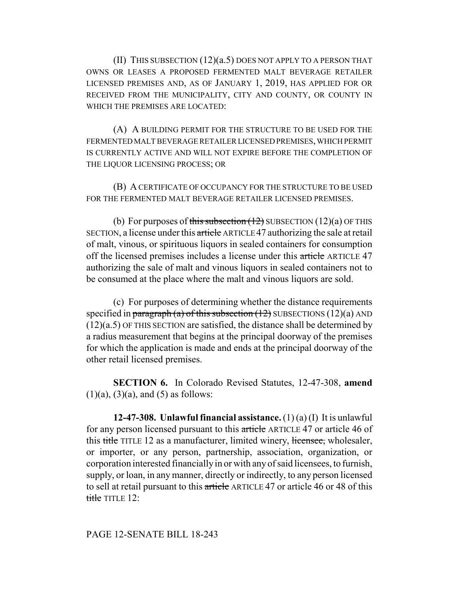(II) THIS SUBSECTION (12)(a.5) DOES NOT APPLY TO A PERSON THAT OWNS OR LEASES A PROPOSED FERMENTED MALT BEVERAGE RETAILER LICENSED PREMISES AND, AS OF JANUARY 1, 2019, HAS APPLIED FOR OR RECEIVED FROM THE MUNICIPALITY, CITY AND COUNTY, OR COUNTY IN WHICH THE PREMISES ARE LOCATED:

(A) A BUILDING PERMIT FOR THE STRUCTURE TO BE USED FOR THE FERMENTED MALT BEVERAGE RETAILER LICENSED PREMISES, WHICH PERMIT IS CURRENTLY ACTIVE AND WILL NOT EXPIRE BEFORE THE COMPLETION OF THE LIQUOR LICENSING PROCESS; OR

(B) A CERTIFICATE OF OCCUPANCY FOR THE STRUCTURE TO BE USED FOR THE FERMENTED MALT BEVERAGE RETAILER LICENSED PREMISES.

(b) For purposes of this subsection  $(12)$  SUBSECTION  $(12)(a)$  OF THIS SECTION, a license under this article ARTICLE 47 authorizing the sale at retail of malt, vinous, or spirituous liquors in sealed containers for consumption off the licensed premises includes a license under this article ARTICLE 47 authorizing the sale of malt and vinous liquors in sealed containers not to be consumed at the place where the malt and vinous liquors are sold.

(c) For purposes of determining whether the distance requirements specified in paragraph (a) of this subsection  $(12)$  SUBSECTIONS  $(12)(a)$  AND (12)(a.5) OF THIS SECTION are satisfied, the distance shall be determined by a radius measurement that begins at the principal doorway of the premises for which the application is made and ends at the principal doorway of the other retail licensed premises.

**SECTION 6.** In Colorado Revised Statutes, 12-47-308, **amend**  $(1)(a)$ ,  $(3)(a)$ , and  $(5)$  as follows:

**12-47-308. Unlawful financial assistance.** (1) (a) (I) It is unlawful for any person licensed pursuant to this article ARTICLE 47 or article 46 of this title TITLE 12 as a manufacturer, limited winery, licensee, wholesaler, or importer, or any person, partnership, association, organization, or corporation interested financially in or with any of said licensees, to furnish, supply, or loan, in any manner, directly or indirectly, to any person licensed to sell at retail pursuant to this article ARTICLE 47 or article 46 or 48 of this title TITLE  $12$ :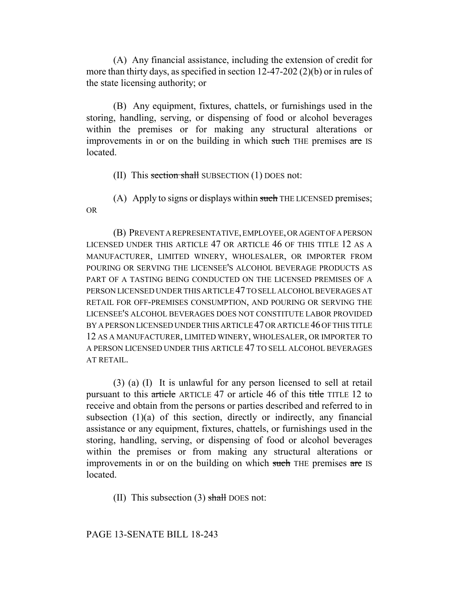(A) Any financial assistance, including the extension of credit for more than thirty days, as specified in section 12-47-202 (2)(b) or in rules of the state licensing authority; or

(B) Any equipment, fixtures, chattels, or furnishings used in the storing, handling, serving, or dispensing of food or alcohol beverages within the premises or for making any structural alterations or improvements in or on the building in which such THE premises are IS located.

(II) This section shall SUBSECTION  $(1)$  DOES not:

(A) Apply to signs or displays within such THE LICENSED premises; OR

(B) PREVENT A REPRESENTATIVE, EMPLOYEE, OR AGENT OF A PERSON LICENSED UNDER THIS ARTICLE 47 OR ARTICLE 46 OF THIS TITLE 12 AS A MANUFACTURER, LIMITED WINERY, WHOLESALER, OR IMPORTER FROM POURING OR SERVING THE LICENSEE'S ALCOHOL BEVERAGE PRODUCTS AS PART OF A TASTING BEING CONDUCTED ON THE LICENSED PREMISES OF A PERSON LICENSED UNDER THIS ARTICLE 47 TO SELL ALCOHOL BEVERAGES AT RETAIL FOR OFF-PREMISES CONSUMPTION, AND POURING OR SERVING THE LICENSEE'S ALCOHOL BEVERAGES DOES NOT CONSTITUTE LABOR PROVIDED BY A PERSON LICENSED UNDER THIS ARTICLE 47 OR ARTICLE 46 OF THIS TITLE 12 AS A MANUFACTURER, LIMITED WINERY, WHOLESALER, OR IMPORTER TO A PERSON LICENSED UNDER THIS ARTICLE 47 TO SELL ALCOHOL BEVERAGES AT RETAIL.

(3) (a) (I) It is unlawful for any person licensed to sell at retail pursuant to this article ARTICLE 47 or article 46 of this title TITLE 12 to receive and obtain from the persons or parties described and referred to in subsection  $(1)(a)$  of this section, directly or indirectly, any financial assistance or any equipment, fixtures, chattels, or furnishings used in the storing, handling, serving, or dispensing of food or alcohol beverages within the premises or from making any structural alterations or improvements in or on the building on which such THE premises are IS located.

(II) This subsection  $(3)$  shall DOES not:

PAGE 13-SENATE BILL 18-243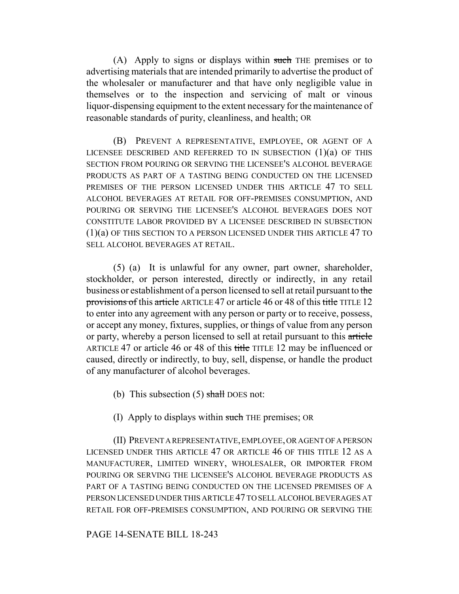(A) Apply to signs or displays within such THE premises or to advertising materials that are intended primarily to advertise the product of the wholesaler or manufacturer and that have only negligible value in themselves or to the inspection and servicing of malt or vinous liquor-dispensing equipment to the extent necessary for the maintenance of reasonable standards of purity, cleanliness, and health; OR

(B) PREVENT A REPRESENTATIVE, EMPLOYEE, OR AGENT OF A LICENSEE DESCRIBED AND REFERRED TO IN SUBSECTION  $(1)(a)$  OF THIS SECTION FROM POURING OR SERVING THE LICENSEE'S ALCOHOL BEVERAGE PRODUCTS AS PART OF A TASTING BEING CONDUCTED ON THE LICENSED PREMISES OF THE PERSON LICENSED UNDER THIS ARTICLE 47 TO SELL ALCOHOL BEVERAGES AT RETAIL FOR OFF-PREMISES CONSUMPTION, AND POURING OR SERVING THE LICENSEE'S ALCOHOL BEVERAGES DOES NOT CONSTITUTE LABOR PROVIDED BY A LICENSEE DESCRIBED IN SUBSECTION (1)(a) OF THIS SECTION TO A PERSON LICENSED UNDER THIS ARTICLE 47 TO SELL ALCOHOL BEVERAGES AT RETAIL.

(5) (a) It is unlawful for any owner, part owner, shareholder, stockholder, or person interested, directly or indirectly, in any retail business or establishment of a person licensed to sell at retail pursuant to the provisions of this article ARTICLE 47 or article 46 or 48 of this title TITLE 12 to enter into any agreement with any person or party or to receive, possess, or accept any money, fixtures, supplies, or things of value from any person or party, whereby a person licensed to sell at retail pursuant to this article ARTICLE 47 or article 46 or 48 of this title TITLE 12 may be influenced or caused, directly or indirectly, to buy, sell, dispense, or handle the product of any manufacturer of alcohol beverages.

- (b) This subsection  $(5)$  shall DOES not:
- (I) Apply to displays within such THE premises; OR

(II) PREVENT A REPRESENTATIVE, EMPLOYEE, OR AGENT OF A PERSON LICENSED UNDER THIS ARTICLE 47 OR ARTICLE 46 OF THIS TITLE 12 AS A MANUFACTURER, LIMITED WINERY, WHOLESALER, OR IMPORTER FROM POURING OR SERVING THE LICENSEE'S ALCOHOL BEVERAGE PRODUCTS AS PART OF A TASTING BEING CONDUCTED ON THE LICENSED PREMISES OF A PERSON LICENSED UNDER THIS ARTICLE 47 TO SELL ALCOHOL BEVERAGES AT RETAIL FOR OFF-PREMISES CONSUMPTION, AND POURING OR SERVING THE

# PAGE 14-SENATE BILL 18-243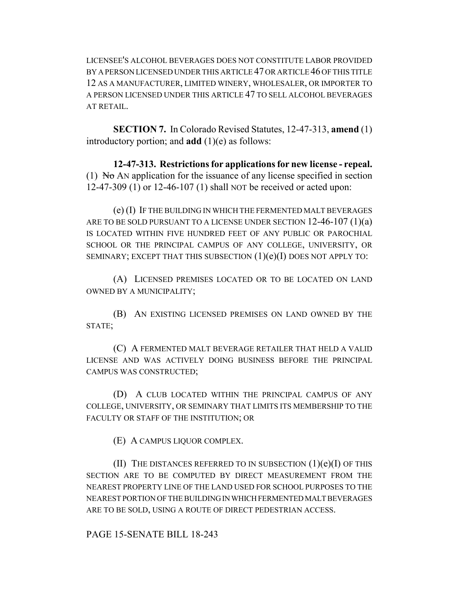LICENSEE'S ALCOHOL BEVERAGES DOES NOT CONSTITUTE LABOR PROVIDED BY A PERSON LICENSED UNDER THIS ARTICLE 47 OR ARTICLE 46 OF THIS TITLE 12 AS A MANUFACTURER, LIMITED WINERY, WHOLESALER, OR IMPORTER TO A PERSON LICENSED UNDER THIS ARTICLE 47 TO SELL ALCOHOL BEVERAGES AT RETAIL.

**SECTION 7.** In Colorado Revised Statutes, 12-47-313, **amend** (1) introductory portion; and **add** (1)(e) as follows:

**12-47-313. Restrictions for applications for new license - repeal.** (1) No AN application for the issuance of any license specified in section 12-47-309 (1) or 12-46-107 (1) shall NOT be received or acted upon:

(e) (I) IF THE BUILDING IN WHICH THE FERMENTED MALT BEVERAGES ARE TO BE SOLD PURSUANT TO A LICENSE UNDER SECTION  $12-46-107(1)(a)$ IS LOCATED WITHIN FIVE HUNDRED FEET OF ANY PUBLIC OR PAROCHIAL SCHOOL OR THE PRINCIPAL CAMPUS OF ANY COLLEGE, UNIVERSITY, OR SEMINARY; EXCEPT THAT THIS SUBSECTION  $(1)(e)(I)$  DOES NOT APPLY TO:

(A) LICENSED PREMISES LOCATED OR TO BE LOCATED ON LAND OWNED BY A MUNICIPALITY;

(B) AN EXISTING LICENSED PREMISES ON LAND OWNED BY THE STATE;

(C) A FERMENTED MALT BEVERAGE RETAILER THAT HELD A VALID LICENSE AND WAS ACTIVELY DOING BUSINESS BEFORE THE PRINCIPAL CAMPUS WAS CONSTRUCTED;

(D) A CLUB LOCATED WITHIN THE PRINCIPAL CAMPUS OF ANY COLLEGE, UNIVERSITY, OR SEMINARY THAT LIMITS ITS MEMBERSHIP TO THE FACULTY OR STAFF OF THE INSTITUTION; OR

(E) A CAMPUS LIQUOR COMPLEX.

(II) THE DISTANCES REFERRED TO IN SUBSECTION  $(1)(e)(I)$  OF THIS SECTION ARE TO BE COMPUTED BY DIRECT MEASUREMENT FROM THE NEAREST PROPERTY LINE OF THE LAND USED FOR SCHOOL PURPOSES TO THE NEAREST PORTION OF THE BUILDING IN WHICH FERMENTED MALT BEVERAGES ARE TO BE SOLD, USING A ROUTE OF DIRECT PEDESTRIAN ACCESS.

PAGE 15-SENATE BILL 18-243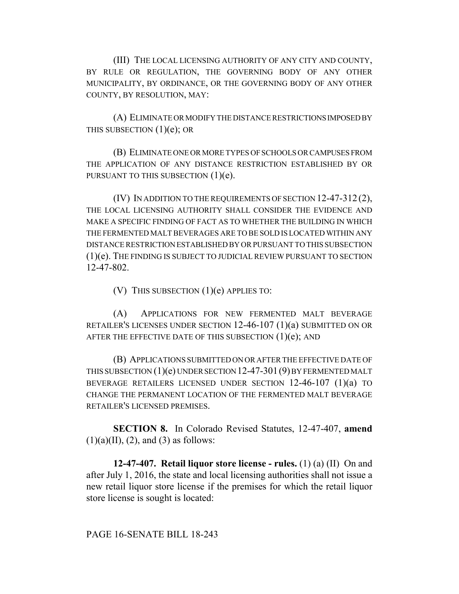(III) THE LOCAL LICENSING AUTHORITY OF ANY CITY AND COUNTY, BY RULE OR REGULATION, THE GOVERNING BODY OF ANY OTHER MUNICIPALITY, BY ORDINANCE, OR THE GOVERNING BODY OF ANY OTHER COUNTY, BY RESOLUTION, MAY:

(A) ELIMINATE OR MODIFY THE DISTANCE RESTRICTIONS IMPOSED BY THIS SUBSECTION  $(1)(e)$ ; OR

(B) ELIMINATE ONE OR MORE TYPES OF SCHOOLS OR CAMPUSES FROM THE APPLICATION OF ANY DISTANCE RESTRICTION ESTABLISHED BY OR PURSUANT TO THIS SUBSECTION  $(1)(e)$ .

(IV) IN ADDITION TO THE REQUIREMENTS OF SECTION 12-47-312 (2), THE LOCAL LICENSING AUTHORITY SHALL CONSIDER THE EVIDENCE AND MAKE A SPECIFIC FINDING OF FACT AS TO WHETHER THE BUILDING IN WHICH THE FERMENTED MALT BEVERAGES ARE TO BE SOLD IS LOCATED WITHIN ANY DISTANCE RESTRICTION ESTABLISHED BY OR PURSUANT TO THIS SUBSECTION (1)(e). THE FINDING IS SUBJECT TO JUDICIAL REVIEW PURSUANT TO SECTION 12-47-802.

(V) THIS SUBSECTION  $(1)(e)$  APPLIES TO:

(A) APPLICATIONS FOR NEW FERMENTED MALT BEVERAGE RETAILER'S LICENSES UNDER SECTION 12-46-107 (1)(a) SUBMITTED ON OR AFTER THE EFFECTIVE DATE OF THIS SUBSECTION  $(1)(e)$ ; AND

(B) APPLICATIONS SUBMITTED ON OR AFTER THE EFFECTIVE DATE OF THIS SUBSECTION (1)(e) UNDER SECTION 12-47-301(9) BY FERMENTED MALT BEVERAGE RETAILERS LICENSED UNDER SECTION 12-46-107 (1)(a) TO CHANGE THE PERMANENT LOCATION OF THE FERMENTED MALT BEVERAGE RETAILER'S LICENSED PREMISES.

**SECTION 8.** In Colorado Revised Statutes, 12-47-407, **amend**  $(1)(a)(II), (2), and (3)$  as follows:

**12-47-407. Retail liquor store license - rules.** (1) (a) (II) On and after July 1, 2016, the state and local licensing authorities shall not issue a new retail liquor store license if the premises for which the retail liquor store license is sought is located:

PAGE 16-SENATE BILL 18-243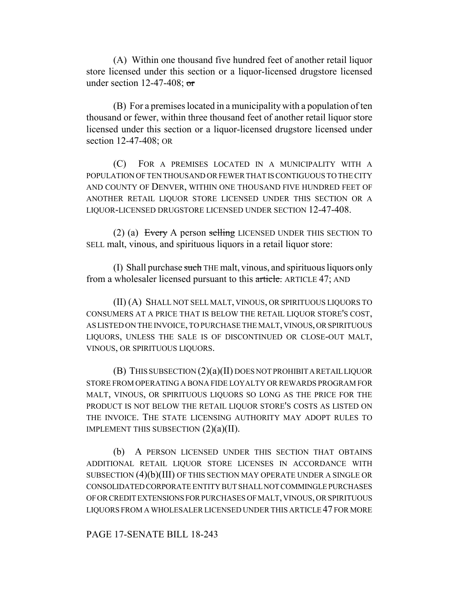(A) Within one thousand five hundred feet of another retail liquor store licensed under this section or a liquor-licensed drugstore licensed under section  $12-47-408$ ; or

(B) For a premises located in a municipality with a population of ten thousand or fewer, within three thousand feet of another retail liquor store licensed under this section or a liquor-licensed drugstore licensed under section 12-47-408; OR

(C) FOR A PREMISES LOCATED IN A MUNICIPALITY WITH A POPULATION OF TEN THOUSAND OR FEWER THAT IS CONTIGUOUS TO THE CITY AND COUNTY OF DENVER, WITHIN ONE THOUSAND FIVE HUNDRED FEET OF ANOTHER RETAIL LIQUOR STORE LICENSED UNDER THIS SECTION OR A LIQUOR-LICENSED DRUGSTORE LICENSED UNDER SECTION 12-47-408.

(2) (a) Every A person selling LICENSED UNDER THIS SECTION TO SELL malt, vinous, and spirituous liquors in a retail liquor store:

(I) Shall purchase such THE malt, vinous, and spirituous liquors only from a wholesaler licensed pursuant to this article. ARTICLE 47; AND

(II) (A) SHALL NOT SELL MALT, VINOUS, OR SPIRITUOUS LIQUORS TO CONSUMERS AT A PRICE THAT IS BELOW THE RETAIL LIQUOR STORE'S COST, AS LISTED ON THE INVOICE, TO PURCHASE THE MALT, VINOUS, OR SPIRITUOUS LIQUORS, UNLESS THE SALE IS OF DISCONTINUED OR CLOSE-OUT MALT, VINOUS, OR SPIRITUOUS LIQUORS.

(B) THIS SUBSECTION (2)(a)(II) DOES NOT PROHIBIT A RETAIL LIQUOR STORE FROM OPERATING A BONA FIDE LOYALTY OR REWARDS PROGRAM FOR MALT, VINOUS, OR SPIRITUOUS LIQUORS SO LONG AS THE PRICE FOR THE PRODUCT IS NOT BELOW THE RETAIL LIQUOR STORE'S COSTS AS LISTED ON THE INVOICE. THE STATE LICENSING AUTHORITY MAY ADOPT RULES TO IMPLEMENT THIS SUBSECTION  $(2)(a)(II)$ .

(b) A PERSON LICENSED UNDER THIS SECTION THAT OBTAINS ADDITIONAL RETAIL LIQUOR STORE LICENSES IN ACCORDANCE WITH SUBSECTION (4)(b)(III) OF THIS SECTION MAY OPERATE UNDER A SINGLE OR CONSOLIDATED CORPORATE ENTITY BUT SHALL NOT COMMINGLE PURCHASES OF OR CREDIT EXTENSIONS FOR PURCHASES OF MALT, VINOUS, OR SPIRITUOUS LIQUORS FROM A WHOLESALER LICENSED UNDER THIS ARTICLE 47 FOR MORE

PAGE 17-SENATE BILL 18-243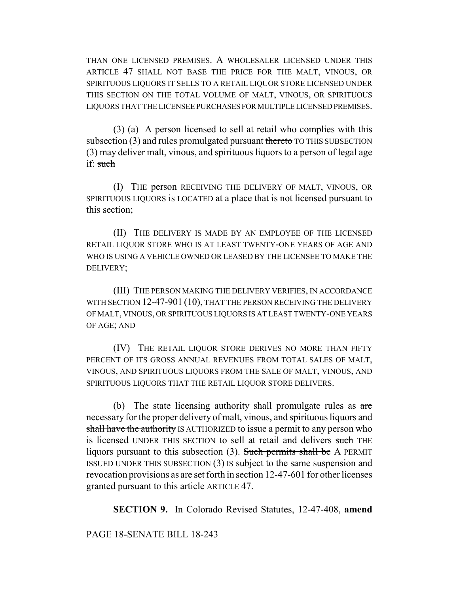THAN ONE LICENSED PREMISES. A WHOLESALER LICENSED UNDER THIS ARTICLE 47 SHALL NOT BASE THE PRICE FOR THE MALT, VINOUS, OR SPIRITUOUS LIQUORS IT SELLS TO A RETAIL LIQUOR STORE LICENSED UNDER THIS SECTION ON THE TOTAL VOLUME OF MALT, VINOUS, OR SPIRITUOUS LIQUORS THAT THE LICENSEE PURCHASES FOR MULTIPLE LICENSED PREMISES.

(3) (a) A person licensed to sell at retail who complies with this subsection (3) and rules promulgated pursuant thereto TO THIS SUBSECTION (3) may deliver malt, vinous, and spirituous liquors to a person of legal age if: such

(I) THE person RECEIVING THE DELIVERY OF MALT, VINOUS, OR SPIRITUOUS LIQUORS is LOCATED at a place that is not licensed pursuant to this section;

(II) THE DELIVERY IS MADE BY AN EMPLOYEE OF THE LICENSED RETAIL LIQUOR STORE WHO IS AT LEAST TWENTY-ONE YEARS OF AGE AND WHO IS USING A VEHICLE OWNED OR LEASED BY THE LICENSEE TO MAKE THE DELIVERY;

(III) THE PERSON MAKING THE DELIVERY VERIFIES, IN ACCORDANCE WITH SECTION 12-47-901 (10), THAT THE PERSON RECEIVING THE DELIVERY OF MALT, VINOUS, OR SPIRITUOUS LIQUORS IS AT LEAST TWENTY-ONE YEARS OF AGE; AND

(IV) THE RETAIL LIQUOR STORE DERIVES NO MORE THAN FIFTY PERCENT OF ITS GROSS ANNUAL REVENUES FROM TOTAL SALES OF MALT, VINOUS, AND SPIRITUOUS LIQUORS FROM THE SALE OF MALT, VINOUS, AND SPIRITUOUS LIQUORS THAT THE RETAIL LIQUOR STORE DELIVERS.

(b) The state licensing authority shall promulgate rules as  $\alpha$ re necessary for the proper delivery of malt, vinous, and spirituous liquors and shall have the authority IS AUTHORIZED to issue a permit to any person who is licensed UNDER THIS SECTION to sell at retail and delivers such THE liquors pursuant to this subsection (3). Such permits shall be A PERMIT ISSUED UNDER THIS SUBSECTION (3) IS subject to the same suspension and revocation provisions as are set forth in section 12-47-601 for other licenses granted pursuant to this article ARTICLE 47.

**SECTION 9.** In Colorado Revised Statutes, 12-47-408, **amend**

# PAGE 18-SENATE BILL 18-243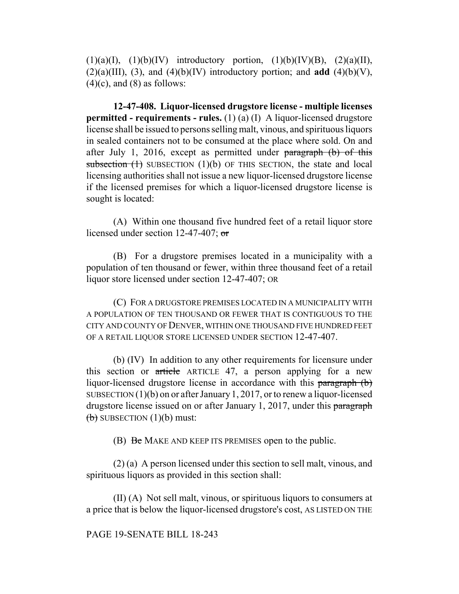$(1)(a)(I), (1)(b)(IV)$  introductory portion,  $(1)(b)(IV)(B), (2)(a)(II),$  $(2)(a)(III)$ ,  $(3)$ , and  $(4)(b)(IV)$  introductory portion; and **add**  $(4)(b)(V)$ ,  $(4)(c)$ , and  $(8)$  as follows:

**12-47-408. Liquor-licensed drugstore license - multiple licenses permitted - requirements - rules.** (1) (a) (I) A liquor-licensed drugstore license shall be issued to persons selling malt, vinous, and spirituous liquors in sealed containers not to be consumed at the place where sold. On and after July 1, 2016, except as permitted under paragraph (b) of this subsection  $(1)$  SUBSECTION  $(1)(b)$  OF THIS SECTION, the state and local licensing authorities shall not issue a new liquor-licensed drugstore license if the licensed premises for which a liquor-licensed drugstore license is sought is located:

(A) Within one thousand five hundred feet of a retail liquor store licensed under section 12-47-407; or

(B) For a drugstore premises located in a municipality with a population of ten thousand or fewer, within three thousand feet of a retail liquor store licensed under section 12-47-407; OR

(C) FOR A DRUGSTORE PREMISES LOCATED IN A MUNICIPALITY WITH A POPULATION OF TEN THOUSAND OR FEWER THAT IS CONTIGUOUS TO THE CITY AND COUNTY OF DENVER, WITHIN ONE THOUSAND FIVE HUNDRED FEET OF A RETAIL LIQUOR STORE LICENSED UNDER SECTION 12-47-407.

(b) (IV) In addition to any other requirements for licensure under this section or article ARTICLE 47, a person applying for a new liquor-licensed drugstore license in accordance with this paragraph (b) SUBSECTION (1)(b) on or after January 1, 2017, or to renew a liquor-licensed drugstore license issued on or after January 1, 2017, under this paragraph  $\left(\frac{b}{b}\right)$  SUBSECTION  $(1)(b)$  must:

(B) Be MAKE AND KEEP ITS PREMISES open to the public.

(2) (a) A person licensed under this section to sell malt, vinous, and spirituous liquors as provided in this section shall:

(II) (A) Not sell malt, vinous, or spirituous liquors to consumers at a price that is below the liquor-licensed drugstore's cost, AS LISTED ON THE

### PAGE 19-SENATE BILL 18-243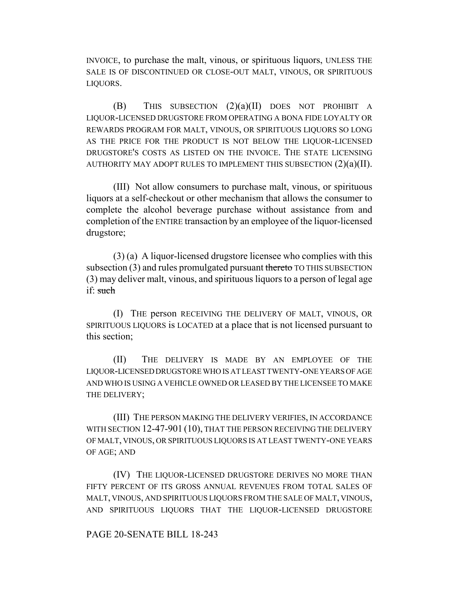INVOICE, to purchase the malt, vinous, or spirituous liquors, UNLESS THE SALE IS OF DISCONTINUED OR CLOSE-OUT MALT, VINOUS, OR SPIRITUOUS LIQUORS.

(B) THIS SUBSECTION (2)(a)(II) DOES NOT PROHIBIT A LIQUOR-LICENSED DRUGSTORE FROM OPERATING A BONA FIDE LOYALTY OR REWARDS PROGRAM FOR MALT, VINOUS, OR SPIRITUOUS LIQUORS SO LONG AS THE PRICE FOR THE PRODUCT IS NOT BELOW THE LIQUOR-LICENSED DRUGSTORE'S COSTS AS LISTED ON THE INVOICE. THE STATE LICENSING AUTHORITY MAY ADOPT RULES TO IMPLEMENT THIS SUBSECTION  $(2)(a)(II)$ .

(III) Not allow consumers to purchase malt, vinous, or spirituous liquors at a self-checkout or other mechanism that allows the consumer to complete the alcohol beverage purchase without assistance from and completion of the ENTIRE transaction by an employee of the liquor-licensed drugstore;

(3) (a) A liquor-licensed drugstore licensee who complies with this subsection (3) and rules promulgated pursuant thereto TO THIS SUBSECTION (3) may deliver malt, vinous, and spirituous liquors to a person of legal age if: such

(I) THE person RECEIVING THE DELIVERY OF MALT, VINOUS, OR SPIRITUOUS LIQUORS is LOCATED at a place that is not licensed pursuant to this section;

(II) THE DELIVERY IS MADE BY AN EMPLOYEE OF THE LIQUOR-LICENSED DRUGSTORE WHO IS AT LEAST TWENTY-ONE YEARS OF AGE AND WHO IS USING A VEHICLE OWNED OR LEASED BY THE LICENSEE TO MAKE THE DELIVERY;

(III) THE PERSON MAKING THE DELIVERY VERIFIES, IN ACCORDANCE WITH SECTION 12-47-901 (10), THAT THE PERSON RECEIVING THE DELIVERY OF MALT, VINOUS, OR SPIRITUOUS LIQUORS IS AT LEAST TWENTY-ONE YEARS OF AGE; AND

(IV) THE LIQUOR-LICENSED DRUGSTORE DERIVES NO MORE THAN FIFTY PERCENT OF ITS GROSS ANNUAL REVENUES FROM TOTAL SALES OF MALT, VINOUS, AND SPIRITUOUS LIQUORS FROM THE SALE OF MALT, VINOUS, AND SPIRITUOUS LIQUORS THAT THE LIQUOR-LICENSED DRUGSTORE

#### PAGE 20-SENATE BILL 18-243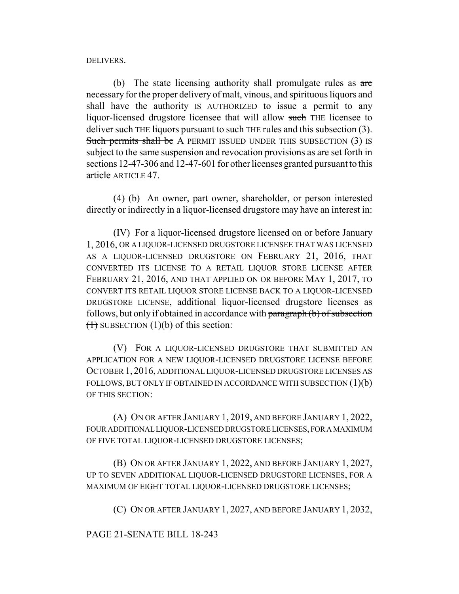DELIVERS.

(b) The state licensing authority shall promulgate rules as are necessary for the proper delivery of malt, vinous, and spirituous liquors and shall have the authority IS AUTHORIZED to issue a permit to any liquor-licensed drugstore licensee that will allow such THE licensee to deliver such THE liquors pursuant to such THE rules and this subsection (3). Such permits shall be A PERMIT ISSUED UNDER THIS SUBSECTION (3) IS subject to the same suspension and revocation provisions as are set forth in sections 12-47-306 and 12-47-601 for other licenses granted pursuant to this article ARTICLE 47

(4) (b) An owner, part owner, shareholder, or person interested directly or indirectly in a liquor-licensed drugstore may have an interest in:

(IV) For a liquor-licensed drugstore licensed on or before January 1, 2016, OR A LIQUOR-LICENSED DRUGSTORE LICENSEE THAT WAS LICENSED AS A LIQUOR-LICENSED DRUGSTORE ON FEBRUARY 21, 2016, THAT CONVERTED ITS LICENSE TO A RETAIL LIQUOR STORE LICENSE AFTER FEBRUARY 21, 2016, AND THAT APPLIED ON OR BEFORE MAY 1, 2017, TO CONVERT ITS RETAIL LIQUOR STORE LICENSE BACK TO A LIQUOR-LICENSED DRUGSTORE LICENSE, additional liquor-licensed drugstore licenses as follows, but only if obtained in accordance with paragraph (b) of subsection  $(1)$  SUBSECTION  $(1)(b)$  of this section:

(V) FOR A LIQUOR-LICENSED DRUGSTORE THAT SUBMITTED AN APPLICATION FOR A NEW LIQUOR-LICENSED DRUGSTORE LICENSE BEFORE OCTOBER 1, 2016, ADDITIONAL LIQUOR-LICENSED DRUGSTORE LICENSES AS FOLLOWS, BUT ONLY IF OBTAINED IN ACCORDANCE WITH SUBSECTION  $(1)(b)$ OF THIS SECTION:

(A) ON OR AFTER JANUARY 1, 2019, AND BEFORE JANUARY 1, 2022, FOUR ADDITIONAL LIQUOR-LICENSED DRUGSTORE LICENSES, FOR A MAXIMUM OF FIVE TOTAL LIQUOR-LICENSED DRUGSTORE LICENSES;

(B) ON OR AFTER JANUARY 1, 2022, AND BEFORE JANUARY 1, 2027, UP TO SEVEN ADDITIONAL LIQUOR-LICENSED DRUGSTORE LICENSES, FOR A MAXIMUM OF EIGHT TOTAL LIQUOR-LICENSED DRUGSTORE LICENSES;

(C) ON OR AFTER JANUARY 1, 2027, AND BEFORE JANUARY 1, 2032,

PAGE 21-SENATE BILL 18-243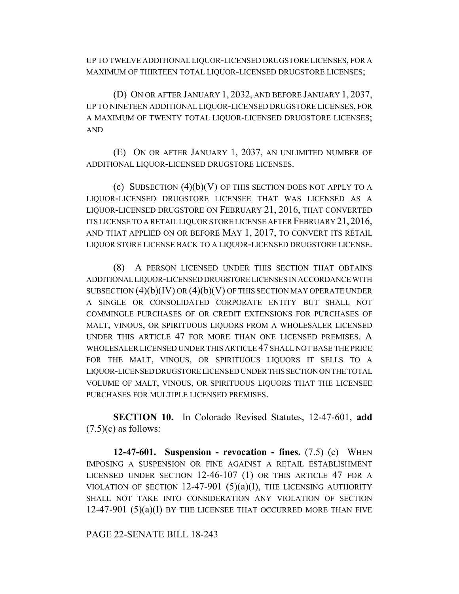UP TO TWELVE ADDITIONAL LIQUOR-LICENSED DRUGSTORE LICENSES, FOR A MAXIMUM OF THIRTEEN TOTAL LIQUOR-LICENSED DRUGSTORE LICENSES;

(D) ON OR AFTER JANUARY 1, 2032, AND BEFORE JANUARY 1, 2037, UP TO NINETEEN ADDITIONAL LIQUOR-LICENSED DRUGSTORE LICENSES, FOR A MAXIMUM OF TWENTY TOTAL LIQUOR-LICENSED DRUGSTORE LICENSES; AND

(E) ON OR AFTER JANUARY 1, 2037, AN UNLIMITED NUMBER OF ADDITIONAL LIQUOR-LICENSED DRUGSTORE LICENSES.

(c) SUBSECTION  $(4)(b)(V)$  OF THIS SECTION DOES NOT APPLY TO A LIQUOR-LICENSED DRUGSTORE LICENSEE THAT WAS LICENSED AS A LIQUOR-LICENSED DRUGSTORE ON FEBRUARY 21, 2016, THAT CONVERTED ITS LICENSE TO A RETAIL LIQUOR STORE LICENSE AFTER FEBRUARY 21, 2016, AND THAT APPLIED ON OR BEFORE MAY 1, 2017, TO CONVERT ITS RETAIL LIQUOR STORE LICENSE BACK TO A LIQUOR-LICENSED DRUGSTORE LICENSE.

(8) A PERSON LICENSED UNDER THIS SECTION THAT OBTAINS ADDITIONAL LIQUOR-LICENSED DRUGSTORE LICENSES IN ACCORDANCE WITH SUBSECTION  $(4)(b)(IV)$  OR  $(4)(b)(V)$  OF THIS SECTION MAY OPERATE UNDER A SINGLE OR CONSOLIDATED CORPORATE ENTITY BUT SHALL NOT COMMINGLE PURCHASES OF OR CREDIT EXTENSIONS FOR PURCHASES OF MALT, VINOUS, OR SPIRITUOUS LIQUORS FROM A WHOLESALER LICENSED UNDER THIS ARTICLE 47 FOR MORE THAN ONE LICENSED PREMISES. A WHOLESALER LICENSED UNDER THIS ARTICLE 47 SHALL NOT BASE THE PRICE FOR THE MALT, VINOUS, OR SPIRITUOUS LIQUORS IT SELLS TO A LIQUOR-LICENSED DRUGSTORE LICENSED UNDER THIS SECTION ON THE TOTAL VOLUME OF MALT, VINOUS, OR SPIRITUOUS LIQUORS THAT THE LICENSEE PURCHASES FOR MULTIPLE LICENSED PREMISES.

**SECTION 10.** In Colorado Revised Statutes, 12-47-601, **add**  $(7.5)(c)$  as follows:

**12-47-601. Suspension - revocation - fines.** (7.5) (c) WHEN IMPOSING A SUSPENSION OR FINE AGAINST A RETAIL ESTABLISHMENT LICENSED UNDER SECTION 12-46-107 (1) OR THIS ARTICLE 47 FOR A VIOLATION OF SECTION  $12-47-901$  (5)(a)(I), THE LICENSING AUTHORITY SHALL NOT TAKE INTO CONSIDERATION ANY VIOLATION OF SECTION  $12-47-901$   $(5)(a)(I)$  by the LICENSEE THAT OCCURRED MORE THAN FIVE

PAGE 22-SENATE BILL 18-243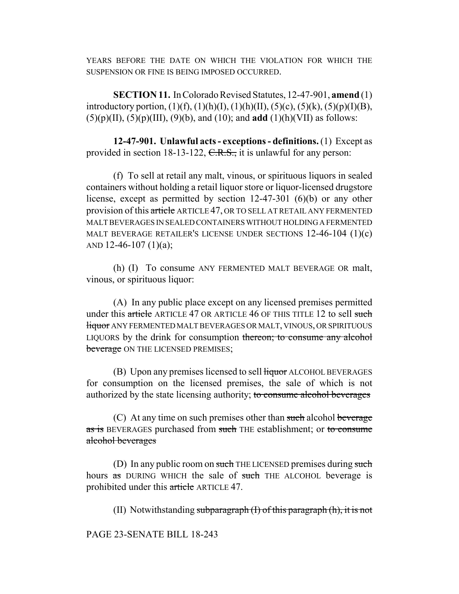YEARS BEFORE THE DATE ON WHICH THE VIOLATION FOR WHICH THE SUSPENSION OR FINE IS BEING IMPOSED OCCURRED.

**SECTION 11.** In Colorado Revised Statutes, 12-47-901, **amend** (1) introductory portion,  $(1)(f)$ ,  $(1)(h)(I)$ ,  $(1)(h)(II)$ ,  $(5)(c)$ ,  $(5)(k)$ ,  $(5)(p)(I)(B)$ , (5)(p)(II), (5)(p)(III), (9)(b), and (10); and **add** (1)(h)(VII) as follows:

**12-47-901. Unlawful acts - exceptions - definitions.** (1) Except as provided in section 18-13-122,  $C.R.S.,$  it is unlawful for any person:

(f) To sell at retail any malt, vinous, or spirituous liquors in sealed containers without holding a retail liquor store or liquor-licensed drugstore license, except as permitted by section 12-47-301 (6)(b) or any other provision of this article ARTICLE 47, OR TO SELL AT RETAIL ANY FERMENTED MALT BEVERAGES IN SEALED CONTAINERS WITHOUT HOLDING A FERMENTED MALT BEVERAGE RETAILER'S LICENSE UNDER SECTIONS 12-46-104 (1)(c) AND 12-46-107 (1)(a);

(h) (I) To consume ANY FERMENTED MALT BEVERAGE OR malt, vinous, or spirituous liquor:

(A) In any public place except on any licensed premises permitted under this article ARTICLE 47 OR ARTICLE 46 OF THIS TITLE 12 to sell such liquor ANY FERMENTED MALT BEVERAGES OR MALT, VINOUS, OR SPIRITUOUS LIQUORS by the drink for consumption thereon; to consume any alcohol beverage ON THE LICENSED PREMISES;

(B) Upon any premises licensed to sell liquor ALCOHOL BEVERAGES for consumption on the licensed premises, the sale of which is not authorized by the state licensing authority; to consume alcohol beverages

 $(C)$  At any time on such premises other than such alcohol beverage as is BEVERAGES purchased from such THE establishment; or to consume alcohol beverages

(D) In any public room on such THE LICENSED premises during such hours as DURING WHICH the sale of such THE ALCOHOL beverage is prohibited under this article ARTICLE 47.

(II) Notwithstanding subparagraph  $(I)$  of this paragraph  $(h)$ , it is not

PAGE 23-SENATE BILL 18-243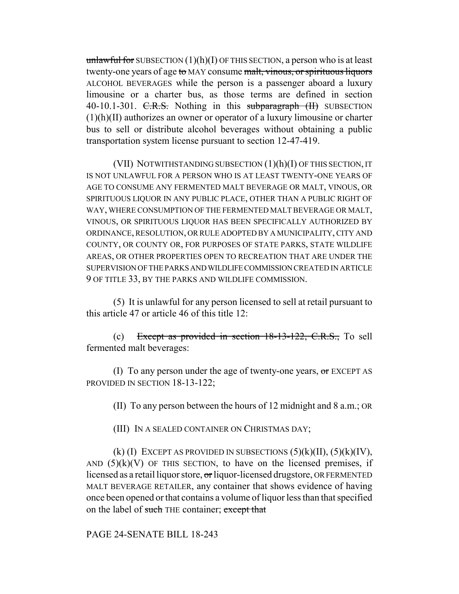unlawful for SUBSECTION  $(1)(h)(I)$  OF THIS SECTION, a person who is at least twenty-one years of age to MAY consume malt, vinous, or spirituous liquors ALCOHOL BEVERAGES while the person is a passenger aboard a luxury limousine or a charter bus, as those terms are defined in section 40-10.1-301. C.R.S. Nothing in this subparagraph (II) SUBSECTION (1)(h)(II) authorizes an owner or operator of a luxury limousine or charter bus to sell or distribute alcohol beverages without obtaining a public transportation system license pursuant to section 12-47-419.

(VII) NOTWITHSTANDING SUBSECTION (1)(h)(I) OF THIS SECTION, IT IS NOT UNLAWFUL FOR A PERSON WHO IS AT LEAST TWENTY-ONE YEARS OF AGE TO CONSUME ANY FERMENTED MALT BEVERAGE OR MALT, VINOUS, OR SPIRITUOUS LIQUOR IN ANY PUBLIC PLACE, OTHER THAN A PUBLIC RIGHT OF WAY, WHERE CONSUMPTION OF THE FERMENTED MALT BEVERAGE OR MALT, VINOUS, OR SPIRITUOUS LIQUOR HAS BEEN SPECIFICALLY AUTHORIZED BY ORDINANCE, RESOLUTION, OR RULE ADOPTED BY A MUNICIPALITY, CITY AND COUNTY, OR COUNTY OR, FOR PURPOSES OF STATE PARKS, STATE WILDLIFE AREAS, OR OTHER PROPERTIES OPEN TO RECREATION THAT ARE UNDER THE SUPERVISION OF THE PARKS AND WILDLIFE COMMISSION CREATED IN ARTICLE 9 OF TITLE 33, BY THE PARKS AND WILDLIFE COMMISSION.

(5) It is unlawful for any person licensed to sell at retail pursuant to this article 47 or article 46 of this title 12:

(c) Except as provided in section  $18-13-122$ , C.R.S., To sell fermented malt beverages:

(I) To any person under the age of twenty-one years,  $\sigma$  EXCEPT AS PROVIDED IN SECTION 18-13-122;

(II) To any person between the hours of 12 midnight and 8 a.m.; OR

(III) IN A SEALED CONTAINER ON CHRISTMAS DAY;

(k) (I) EXCEPT AS PROVIDED IN SUBSECTIONS  $(5)(k)(II)$ ,  $(5)(k)(IV)$ , AND  $(5)(k)(V)$  OF THIS SECTION, to have on the licensed premises, if licensed as a retail liquor store, or liquor-licensed drugstore, OR FERMENTED MALT BEVERAGE RETAILER, any container that shows evidence of having once been opened or that contains a volume of liquor less than that specified on the label of such THE container; except that

PAGE 24-SENATE BILL 18-243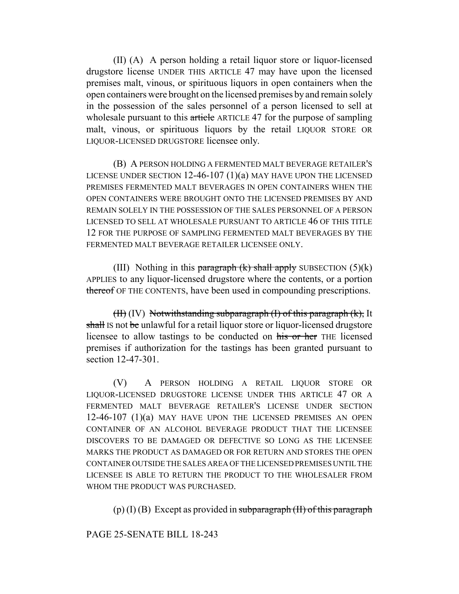(II) (A) A person holding a retail liquor store or liquor-licensed drugstore license UNDER THIS ARTICLE 47 may have upon the licensed premises malt, vinous, or spirituous liquors in open containers when the open containers were brought on the licensed premises by and remain solely in the possession of the sales personnel of a person licensed to sell at wholesale pursuant to this article ARTICLE 47 for the purpose of sampling malt, vinous, or spirituous liquors by the retail LIQUOR STORE OR LIQUOR-LICENSED DRUGSTORE licensee only.

(B) A PERSON HOLDING A FERMENTED MALT BEVERAGE RETAILER'S LICENSE UNDER SECTION 12-46-107 (1)(a) MAY HAVE UPON THE LICENSED PREMISES FERMENTED MALT BEVERAGES IN OPEN CONTAINERS WHEN THE OPEN CONTAINERS WERE BROUGHT ONTO THE LICENSED PREMISES BY AND REMAIN SOLELY IN THE POSSESSION OF THE SALES PERSONNEL OF A PERSON LICENSED TO SELL AT WHOLESALE PURSUANT TO ARTICLE 46 OF THIS TITLE 12 FOR THE PURPOSE OF SAMPLING FERMENTED MALT BEVERAGES BY THE FERMENTED MALT BEVERAGE RETAILER LICENSEE ONLY.

(III) Nothing in this paragraph  $(k)$  shall apply SUBSECTION  $(5)(k)$ APPLIES to any liquor-licensed drugstore where the contents, or a portion thereof OF THE CONTENTS, have been used in compounding prescriptions.

 $(H)$  (IV) Notwithstanding subparagraph  $(H)$  of this paragraph  $(k)$ , It shall IS not be unlawful for a retail liquor store or liquor-licensed drugstore licensee to allow tastings to be conducted on his or her THE licensed premises if authorization for the tastings has been granted pursuant to section 12-47-301.

(V) A PERSON HOLDING A RETAIL LIQUOR STORE OR LIQUOR-LICENSED DRUGSTORE LICENSE UNDER THIS ARTICLE 47 OR A FERMENTED MALT BEVERAGE RETAILER'S LICENSE UNDER SECTION 12-46-107 (1)(a) MAY HAVE UPON THE LICENSED PREMISES AN OPEN CONTAINER OF AN ALCOHOL BEVERAGE PRODUCT THAT THE LICENSEE DISCOVERS TO BE DAMAGED OR DEFECTIVE SO LONG AS THE LICENSEE MARKS THE PRODUCT AS DAMAGED OR FOR RETURN AND STORES THE OPEN CONTAINER OUTSIDE THE SALES AREA OF THE LICENSED PREMISES UNTIL THE LICENSEE IS ABLE TO RETURN THE PRODUCT TO THE WHOLESALER FROM WHOM THE PRODUCT WAS PURCHASED.

 $(p)$  (I) (B) Except as provided in subparagraph (II) of this paragraph

PAGE 25-SENATE BILL 18-243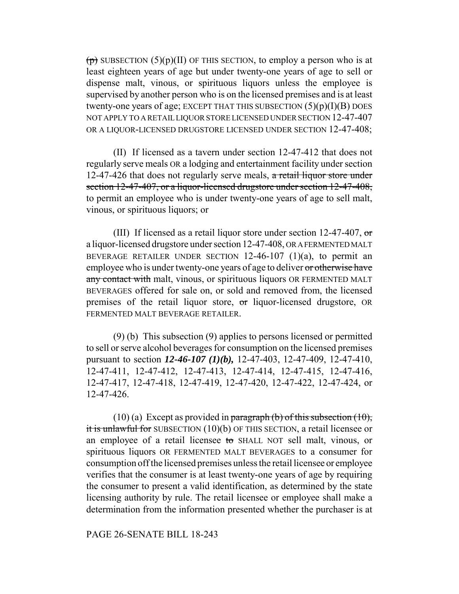$(p)$  SUBSECTION (5)(p)(II) OF THIS SECTION, to employ a person who is at least eighteen years of age but under twenty-one years of age to sell or dispense malt, vinous, or spirituous liquors unless the employee is supervised by another person who is on the licensed premises and is at least twenty-one years of age; EXCEPT THAT THIS SUBSECTION  $(5)(p)(I)(B)$  DOES NOT APPLY TO A RETAIL LIQUOR STORE LICENSED UNDER SECTION 12-47-407 OR A LIQUOR-LICENSED DRUGSTORE LICENSED UNDER SECTION 12-47-408;

(II) If licensed as a tavern under section 12-47-412 that does not regularly serve meals OR a lodging and entertainment facility under section 12-47-426 that does not regularly serve meals, a retail liquor store under section 12-47-407, or a liquor-licensed drugstore under section 12-47-408, to permit an employee who is under twenty-one years of age to sell malt, vinous, or spirituous liquors; or

(III) If licensed as a retail liquor store under section 12-47-407,  $\sigma$ r a liquor-licensed drugstore under section 12-47-408, OR A FERMENTED MALT BEVERAGE RETAILER UNDER SECTION  $12-46-107$  (1)(a), to permit an employee who is under twenty-one years of age to deliver or otherwise have any contact with malt, vinous, or spirituous liquors OR FERMENTED MALT BEVERAGES offered for sale on, or sold and removed from, the licensed premises of the retail liquor store, or liquor-licensed drugstore, OR FERMENTED MALT BEVERAGE RETAILER.

(9) (b) This subsection (9) applies to persons licensed or permitted to sell or serve alcohol beverages for consumption on the licensed premises pursuant to section *12-46-107 (1)(b),* 12-47-403, 12-47-409, 12-47-410, 12-47-411, 12-47-412, 12-47-413, 12-47-414, 12-47-415, 12-47-416, 12-47-417, 12-47-418, 12-47-419, 12-47-420, 12-47-422, 12-47-424, or 12-47-426.

(10) (a) Except as provided in paragraph (b) of this subsection  $(10)$ , it is unlawful for SUBSECTION (10)(b) OF THIS SECTION, a retail licensee or an employee of a retail licensee to SHALL NOT sell malt, vinous, or spirituous liquors OR FERMENTED MALT BEVERAGES to a consumer for consumption off the licensed premises unless the retail licensee or employee verifies that the consumer is at least twenty-one years of age by requiring the consumer to present a valid identification, as determined by the state licensing authority by rule. The retail licensee or employee shall make a determination from the information presented whether the purchaser is at

### PAGE 26-SENATE BILL 18-243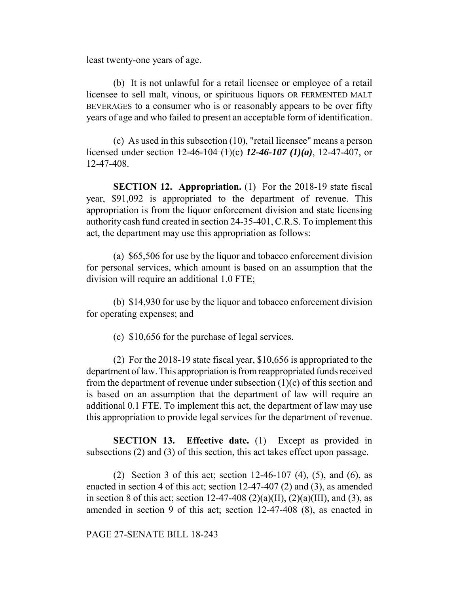least twenty-one years of age.

(b) It is not unlawful for a retail licensee or employee of a retail licensee to sell malt, vinous, or spirituous liquors OR FERMENTED MALT BEVERAGES to a consumer who is or reasonably appears to be over fifty years of age and who failed to present an acceptable form of identification.

(c) As used in this subsection (10), "retail licensee" means a person licensed under section 12-46-104 (1)(c) *12-46-107 (1)(a)*, 12-47-407, or 12-47-408.

**SECTION 12. Appropriation.** (1) For the 2018-19 state fiscal year, \$91,092 is appropriated to the department of revenue. This appropriation is from the liquor enforcement division and state licensing authority cash fund created in section 24-35-401, C.R.S. To implement this act, the department may use this appropriation as follows:

(a) \$65,506 for use by the liquor and tobacco enforcement division for personal services, which amount is based on an assumption that the division will require an additional 1.0 FTE;

(b) \$14,930 for use by the liquor and tobacco enforcement division for operating expenses; and

(c) \$10,656 for the purchase of legal services.

(2) For the 2018-19 state fiscal year, \$10,656 is appropriated to the department of law. This appropriation is from reappropriated funds received from the department of revenue under subsection  $(1)(c)$  of this section and is based on an assumption that the department of law will require an additional 0.1 FTE. To implement this act, the department of law may use this appropriation to provide legal services for the department of revenue.

**SECTION 13. Effective date.** (1) Except as provided in subsections (2) and (3) of this section, this act takes effect upon passage.

(2) Section 3 of this act; section 12-46-107 (4), (5), and (6), as enacted in section 4 of this act; section 12-47-407 (2) and (3), as amended in section 8 of this act; section 12-47-408 (2)(a)(II), (2)(a)(III), and (3), as amended in section 9 of this act; section 12-47-408 (8), as enacted in

PAGE 27-SENATE BILL 18-243